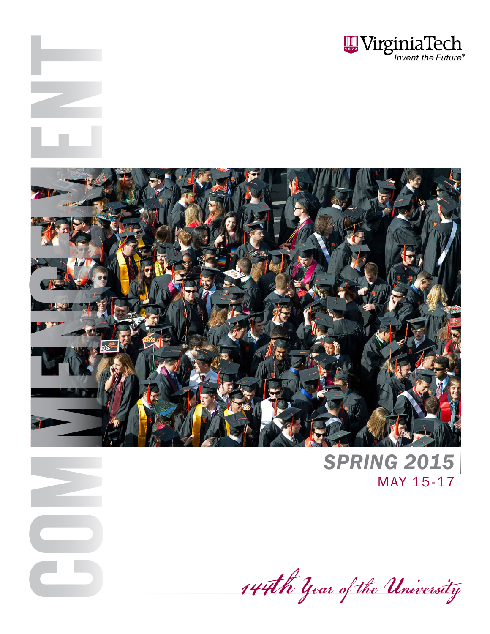



COM

ENT

*SPRING 2015* MAY 15-17

144th Year of the University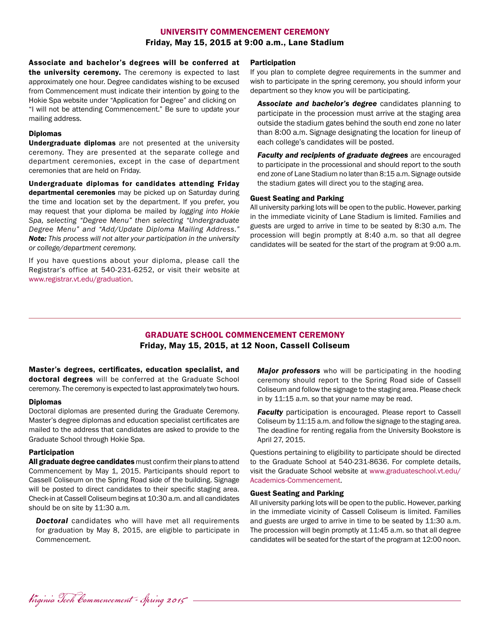### UNIVERSITY COMMENCEMENT CEREMONY Friday, May 15, 2015 at 9:00 a.m., Lane Stadium

Associate and bachelor's degrees will be conferred at the university ceremony. The ceremony is expected to last approximately one hour. Degree candidates wishing to be excused from Commencement must indicate their intention by going to the Hokie Spa website under "Application for Degree" and clicking on "I will not be attending Commencement." Be sure to update your mailing address.

#### Diplomas

Undergraduate diplomas are not presented at the university ceremony. They are presented at the separate college and department ceremonies, except in the case of department ceremonies that are held on Friday.

Undergraduate diplomas for candidates attending Friday departmental ceremonies may be picked up on Saturday during the time and location set by the department. If you prefer, you may request that your diploma be mailed by *logging into Hokie Spa, selecting "Degree Menu" then selecting "Undergraduate Degree Menu" and "Add/Update Diploma Mailing Address." Note: This process will not alter your participation in the university or college/department ceremony.*

If you have questions about your diploma, please call the Registrar's office at 540-231-6252, or visit their website at [www.registrar.vt.edu/graduation.](http://www.registrar.vt.edu/graduation/)

#### Participation

If you plan to complete degree requirements in the summer and wish to participate in the spring ceremony, you should inform your department so they know you will be participating.

*Associate and bachelor's degree* candidates planning to participate in the procession must arrive at the staging area outside the stadium gates behind the south end zone no later than 8:00 a.m. Signage designating the location for lineup of each college's candidates will be posted.

*Faculty and recipients of graduate degrees are encouraged* to participate in the processional and should report to the south end zone of Lane Stadium no later than 8:15 a.m. Signage outside the stadium gates will direct you to the staging area.

#### Guest Seating and Parking

All university parking lots will be open to the public. However, parking in the immediate vicinity of Lane Stadium is limited. Families and guests are urged to arrive in time to be seated by 8:30 a.m. The procession will begin promptly at 8:40 a.m. so that all degree candidates will be seated for the start of the program at 9:00 a.m.

### GRADUATE SCHOOL COMMENCEMENT CEREMONY Friday, May 15, 2015, at 12 Noon, Cassell Coliseum

Master's degrees, certificates, education specialist, and doctoral degrees will be conferred at the Graduate School ceremony. The ceremony is expected to last approximately two hours.

#### Diplomas

Doctoral diplomas are presented during the Graduate Ceremony. Master's degree diplomas and education specialist certificates are mailed to the address that candidates are asked to provide to the Graduate School through Hokie Spa.

#### **Participation**

All graduate degree candidates must confirm their plans to attend Commencement by May 1, 2015. Participants should report to Cassell Coliseum on the Spring Road side of the building. Signage will be posted to direct candidates to their specific staging area. Check-in at Cassell Coliseum begins at 10:30 a.m. and all candidates should be on site by 11:30 a.m.

**Doctoral** candidates who will have met all requirements for graduation by May 8, 2015, are eligible to participate in Commencement.

*Major professors* who will be participating in the hooding ceremony should report to the Spring Road side of Cassell Coliseum and follow the signage to the staging area. Please check in by 11:15 a.m. so that your name may be read.

**Faculty** participation is encouraged. Please report to Cassell Coliseum by 11:15 a.m. and follow the signage to the staging area. The deadline for renting regalia from the University Bookstore is April 27, 2015.

Questions pertaining to eligibility to participate should be directed to the Graduate School at 540-231-8636. For complete details, visit the Graduate School website at [www.graduateschool.vt.edu/](http://www.graduateschool.vt.edu/Academics-Commencement) [Academics-Commencement](http://www.graduateschool.vt.edu/Academics-Commencement).

#### Guest Seating and Parking

All university parking lots will be open to the public. However, parking in the immediate vicinity of Cassell Coliseum is limited. Families and guests are urged to arrive in time to be seated by 11:30 a.m. The procession will begin promptly at 11:45 a.m. so that all degree candidates will be seated for the start of the program at 12:00 noon.

Virginia Tech Commencement - Spring 2015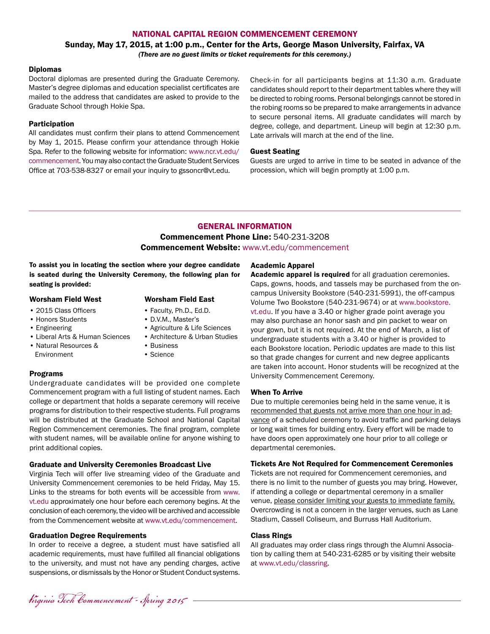#### NATIONAL CAPITAL REGION COMMENCEMENT CEREMONY

#### Sunday, May 17, 2015, at 1:00 p.m., Center for the Arts, George Mason University, Fairfax, VA *(There are no guest limits or ticket requirements for this ceremony.)*

#### Diplomas

Doctoral diplomas are presented during the Graduate Ceremony. Master's degree diplomas and education specialist certificates are mailed to the address that candidates are asked to provide to the Graduate School through Hokie Spa.

#### Participation

All candidates must confirm their plans to attend Commencement by May 1, 2015. Please confirm your attendance through Hokie Spa. Refer to the following website for information: [www.ncr.vt.edu/](http://www.ncr.vt.edu/commencement/) [commencement.](http://www.ncr.vt.edu/commencement/) You may also contact the Graduate Student Services Office at 703-538-8327 or email your inquiry to gssoncr@vt.edu.

Check-in for all participants begins at 11:30 a.m. Graduate candidates should report to their department tables where they will be directed to robing rooms. Personal belongings cannot be stored in the robing rooms so be prepared to make arrangements in advance to secure personal items. All graduate candidates will march by degree, college, and department. Lineup will begin at 12:30 p.m. Late arrivals will march at the end of the line.

#### Guest Seating

Guests are urged to arrive in time to be seated in advance of the procession, which will begin promptly at 1:00 p.m.

### GENERAL INFORMATION Commencement Phone Line: 540-231-3208 Commencement Website: [www.vt.edu/commencement](http://www.vt.edu/commencement)

To assist you in locating the section where your degree candidate is seated during the University Ceremony, the following plan for seating is provided:

#### Worsham Field West Worsham Field East

• 2015 Class Officers

#### • Honors Students

- Engineering
- Liberal Arts & Human Sciences
- Natural Resources & Environment
- 
- Faculty, Ph.D., Ed.D.
- D.V.M., Master's
- Agriculture & Life Sciences
- Architecture & Urban Studies
- Business • Science
- 

#### Programs

Undergraduate candidates will be provided one complete Commencement program with a full listing of student names. Each college or department that holds a separate ceremony will receive programs for distribution to their respective students. Full programs will be distributed at the Graduate School and National Capital Region Commencement ceremonies. The final program, complete with student names, will be available online for anyone wishing to print additional copies.

#### Graduate and University Ceremonies Broadcast Live

Virginia Tech will offer live streaming video of the Graduate and University Commencement ceremonies to be held Friday, May 15. Links to the streams for both events will be accessible from [www.](http://www.vt.edu) [vt.edu](http://www.vt.edu) approximately one hour before each ceremony begins. At the conclusion of each ceremony, the video will be archived and accessible from the Commencement website at [www.vt.edu/commencement](http://www.vt.edu/commencement).

#### Graduation Degree Requirements

In order to receive a degree, a student must have satisfied all academic requirements, must have fulfilled all financial obligations to the university, and must not have any pending charges, active suspensions, or dismissals by the Honor or Student Conduct systems.

#### Academic Apparel

Academic apparel is required for all graduation ceremonies. Caps, gowns, hoods, and tassels may be purchased from the oncampus University Bookstore (540-231-5991), the off-campus Volume Two Bookstore (540-231-9674) or at [www.bookstore.](http://www.bookstore.vt.edu) [vt.edu.](http://www.bookstore.vt.edu) If you have a 3.40 or higher grade point average you may also purchase an honor sash and pin packet to wear on your gown, but it is not required. At the end of March, a list of undergraduate students with a 3.40 or higher is provided to each Bookstore location. Periodic updates are made to this list so that grade changes for current and new degree applicants are taken into account. Honor students will be recognized at the University Commencement Ceremony.

#### When To Arrive

Due to multiple ceremonies being held in the same venue, it is recommended that guests not arrive more than one hour in advance of a scheduled ceremony to avoid traffic and parking delays or long wait times for building entry. Every effort will be made to have doors open approximately one hour prior to all college or departmental ceremonies.

#### Tickets Are Not Required for Commencement Ceremonies

Tickets are not required for Commencement ceremonies, and there is no limit to the number of guests you may bring. However, if attending a college or departmental ceremony in a smaller venue, please consider limiting your guests to immediate family. Overcrowding is not a concern in the larger venues, such as Lane Stadium, Cassell Coliseum, and Burruss Hall Auditorium.

#### Class Rings

All graduates may order class rings through the Alumni Association by calling them at 540-231-6285 or by visiting their website at [www.vt.edu/classring](http://www.vt.edu/classring).

Virginia Tech Commencement - Spring 2015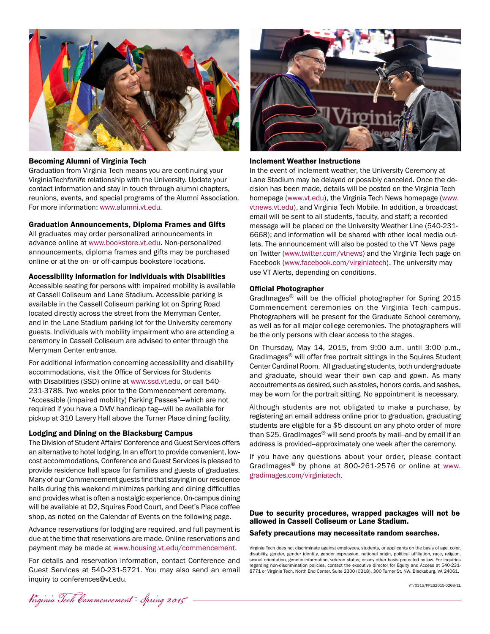

#### Becoming Alumni of Virginia Tech

Graduation from Virginia Tech means you are continuing your VirginiaTech*forlife* relationship with the University. Update your contact information and stay in touch through alumni chapters, reunions, events, and special programs of the Alumni Association. For more information: [www.alumni.vt.edu](http://www.alumni.vt.edu).

#### Graduation Announcements, Diploma Frames and Gifts

All graduates may order personalized announcements in advance online at [www.bookstore.vt.edu.](http://www.bookstore.vt.edu) Non-personalized announcements, diploma frames and gifts may be purchased online or at the on- or off-campus bookstore locations.

#### Accessibility Information for Individuals with Disabilities

Accessible seating for persons with impaired mobility is available at Cassell Coliseum and Lane Stadium. Accessible parking is available in the Cassell Coliseum parking lot on Spring Road located directly across the street from the Merryman Center, and in the Lane Stadium parking lot for the University ceremony guests. Individuals with mobility impairment who are attending a ceremony in Cassell Coliseum are advised to enter through the Merryman Center entrance.

For additional information concerning accessibility and disability accommodations, visit the Office of Services for Students with Disabilities (SSD) online at [www.ssd.vt.edu,](http://www.ssd.vt.edu) or call 540- 231-3788. Two weeks prior to the Commencement ceremony, "Accessible (impaired mobility) Parking Passes"—which are not required if you have a DMV handicap tag—will be available for pickup at 310 Lavery Hall above the Turner Place dining facility.

#### Lodging and Dining on the Blacksburg Campus

The Division of Student Affairs' Conference and Guest Services offers an alternative to hotel lodging. In an effort to provide convenient, lowcost accommodations, Conference and Guest Services is pleased to provide residence hall space for families and guests of graduates. Many of our Commencement guests find that staying in our residence halls during this weekend minimizes parking and dining difficulties and provides what is often a nostalgic experience. On-campus dining will be available at D2, Squires Food Court, and Deet's Place coffee shop, as noted on the Calendar of Events on the following page.

Advance reservations for lodging are required, and full payment is due at the time that reservations are made. Online reservations and payment may be made at [www.housing.vt.edu/commencement.](http://www.housing.vt.edu/commencement)

For details and reservation information, contact Conference and Guest Services at 540-231-5721. You may also send an email inquiry to conferences@vt.edu.



#### Inclement Weather Instructions

In the event of inclement weather, the University Ceremony at Lane Stadium may be delayed or possibly canceled. Once the decision has been made, details will be posted on the Virginia Tech homepage [\(www.vt.edu](http://www.vt.edu)), the Virginia Tech News homepage ([www.](http://www.vtnews.vt.edu) [vtnews.vt.edu\)](http://www.vtnews.vt.edu), and Virginia Tech Mobile. In addition, a broadcast email will be sent to all students, faculty, and staff; a recorded message will be placed on the University Weather Line (540-231- 6668); and information will be shared with other local media outlets. The announcement will also be posted to the VT News page on Twitter ([www.twitter.com/vtnews](http://www.twitter.com/vtnews)) and the Virginia Tech page on Facebook ([www.facebook.com/virginiatech](http://www.facebook.com/virginiatech)). The university may use VT Alerts, depending on conditions.

#### Official Photographer

GradImages<sup>®</sup> will be the official photographer for Spring 2015 Commencement ceremonies on the Virginia Tech campus. Photographers will be present for the Graduate School ceremony, as well as for all major college ceremonies. The photographers will be the only persons with clear access to the stages.

On Thursday, May 14, 2015, from 9:00 a.m. until 3:00 p.m., GradImages® will offer free portrait sittings in the Squires Student Center Cardinal Room. All graduating students, both undergraduate and graduate, should wear their own cap and gown. As many accoutrements as desired, such as stoles, honors cords, and sashes, may be worn for the portrait sitting. No appointment is necessary.

Although students are not obligated to make a purchase, by registering an email address online prior to graduation, graduating students are eligible for a \$5 discount on any photo order of more than \$25. GradImages® will send proofs by mail--and by email if an address is provided--approximately one week after the ceremony.

If you have any questions about your order, please contact GradImages® by phone at 800-261-2576 or online at [www.](http://www.gradimages.com/virginiatech) [gradimages.com/virginiatech](http://www.gradimages.com/virginiatech)[.](http://www.gradimages.com)

Due to security procedures, wrapped packages will not be allowed in Cassell Coliseum or Lane Stadium.

Safety precautions may necessitate random searches.

Virginia Tech does not discriminate against employees, students, or applicants on the basis of age, color, disability, gender, gender identity, gender expression, national origin, political affiliation, race, religion, sexual orientation, genetic information, veteran status, or any other basis protected by law. For inquiries regarding non-discrimination policies, contact the executive director for Equity and Access at 540-231- 8771 or Virginia Tech, North End Center, Suite 2300 (0318), 300 Turner St. NW, Blacksburg, VA 24061.

Virginia Tech Commencement - Spring 2015